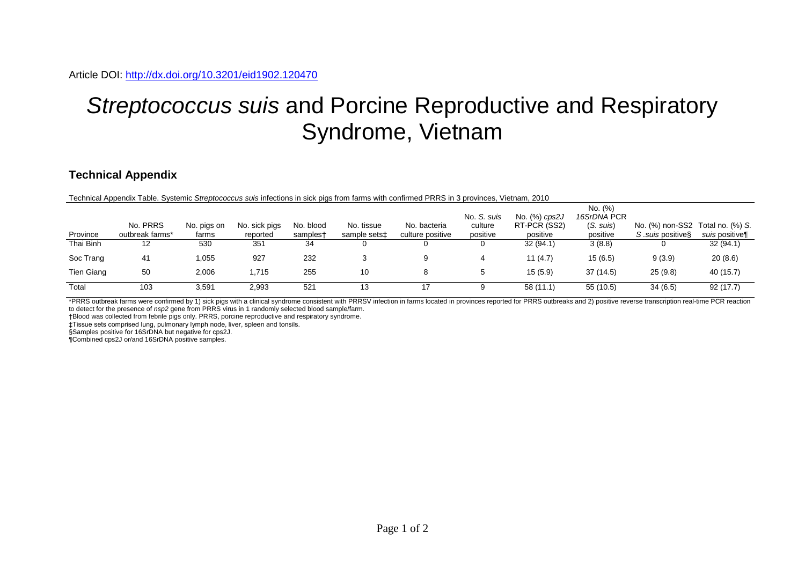## *Streptococcus suis* and Porcine Reproductive and Respiratory Syndrome, Vietnam

## **Technical Appendix**

Technical Appendix Table. Systemic *Streptococcus suis* infections in sick pigs from farms with confirmed PRRS in 3 provinces, Vietnam, 2010

| Province          | No. PRRS<br>outbreak farms* | No. pigs on<br>farms | No. sick pigs<br>reported | No. blood<br>samplest | No. tissue<br>sample sets‡ | No. bacteria<br>culture positive | No. S. suis<br>culture<br>positive | No. (%) cps2J<br>RT-PCR (SS2)<br>positive | No. (%)<br>16SrDNA PCR<br>$(S. \text{Suis})$<br>positive | No. (%) non-SS2 Total no. (%) S.<br>S suis positives | suis positive¶ |
|-------------------|-----------------------------|----------------------|---------------------------|-----------------------|----------------------------|----------------------------------|------------------------------------|-------------------------------------------|----------------------------------------------------------|------------------------------------------------------|----------------|
| Thai Binh         | 12                          | 530                  | 351                       | 34                    |                            |                                  | 0                                  | 32(94.1)                                  | 3(8.8)                                                   |                                                      | 32(94.1)       |
| Soc Trang         | 41                          | ,055                 | 927                       | 232                   |                            |                                  |                                    | 11(4.7)                                   | 15(6.5)                                                  | 9(3.9)                                               | 20(8.6)        |
| <b>Tien Giang</b> | 50                          | 2,006                | 1,715                     | 255                   | 10                         |                                  | 5                                  | 15(5.9)                                   | 37(14.5)                                                 | 25(9.8)                                              | 40 (15.7)      |
| Total             | 103                         | 3,591                | 2,993                     | 521                   | 13                         | 17                               |                                    | 58(11.1)                                  | 55 (10.5)                                                | 34(6.5)                                              | 92(17.7)       |

\*PRRS outbreak farms were confirmed by 1) sick pigs with a clinical syndrome consistent with PRRSV infection in farms located in provinces reported for PRRS outbreaks and 2) positive reverse transcription real-time PCR rea to detect for the presence of *nsp2* gene from PRRS virus in 1 randomly selected blood sample/farm.

†Blood was collected from febrile pigs only. PRRS, porcine reproductive and respiratory syndrome.

‡Tissue sets comprised lung, pulmonary lymph node, liver, spleen and tonsils.

§Samples positive for 16SrDNA but negative for cps2J.

¶Combined cps2J or/and 16SrDNA positive samples.